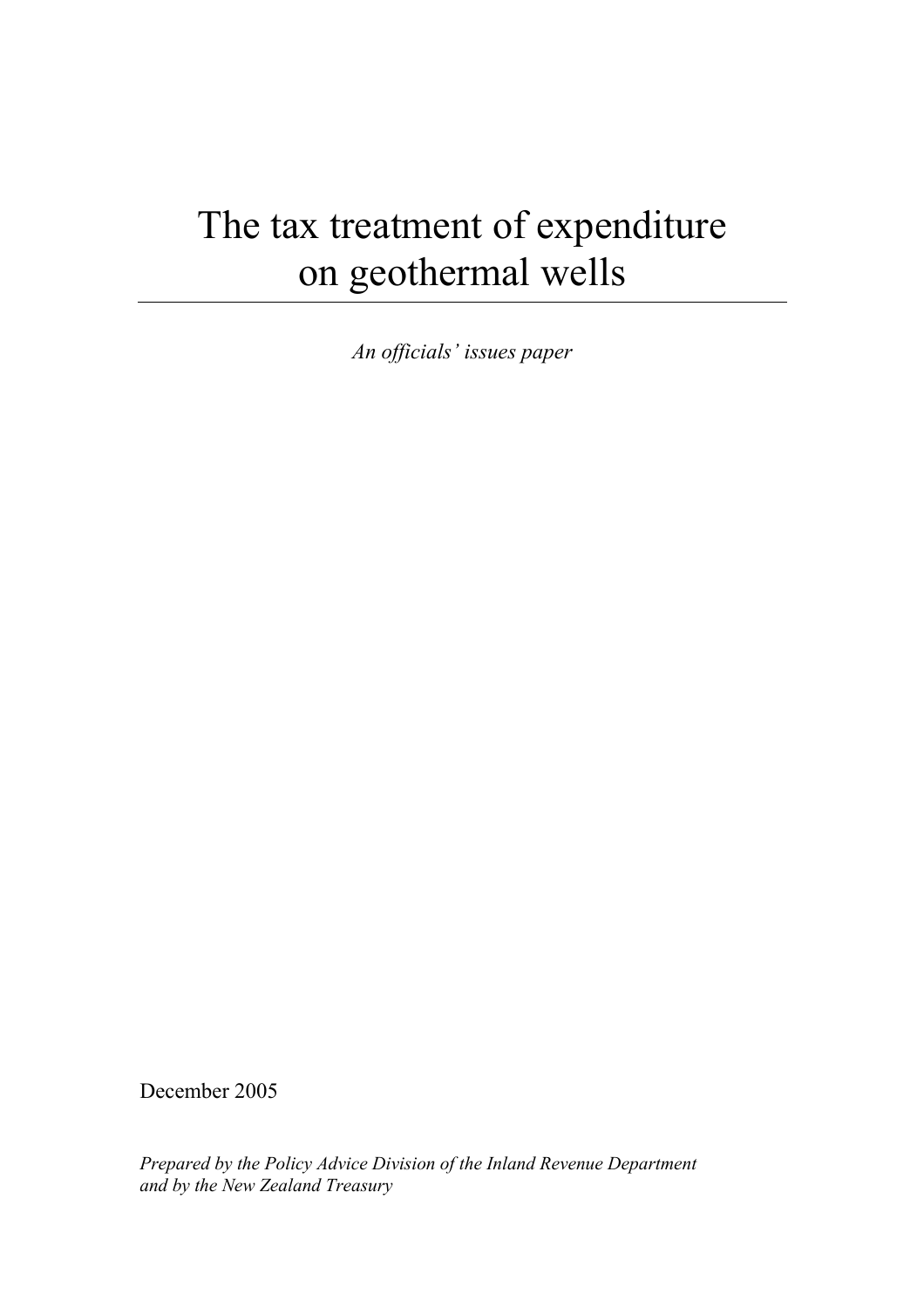# The tax treatment of expenditure on geothermal wells

*An officials' issues paper* 

December 2005

*Prepared by the Policy Advice Division of the Inland Revenue Department and by the New Zealand Treasury*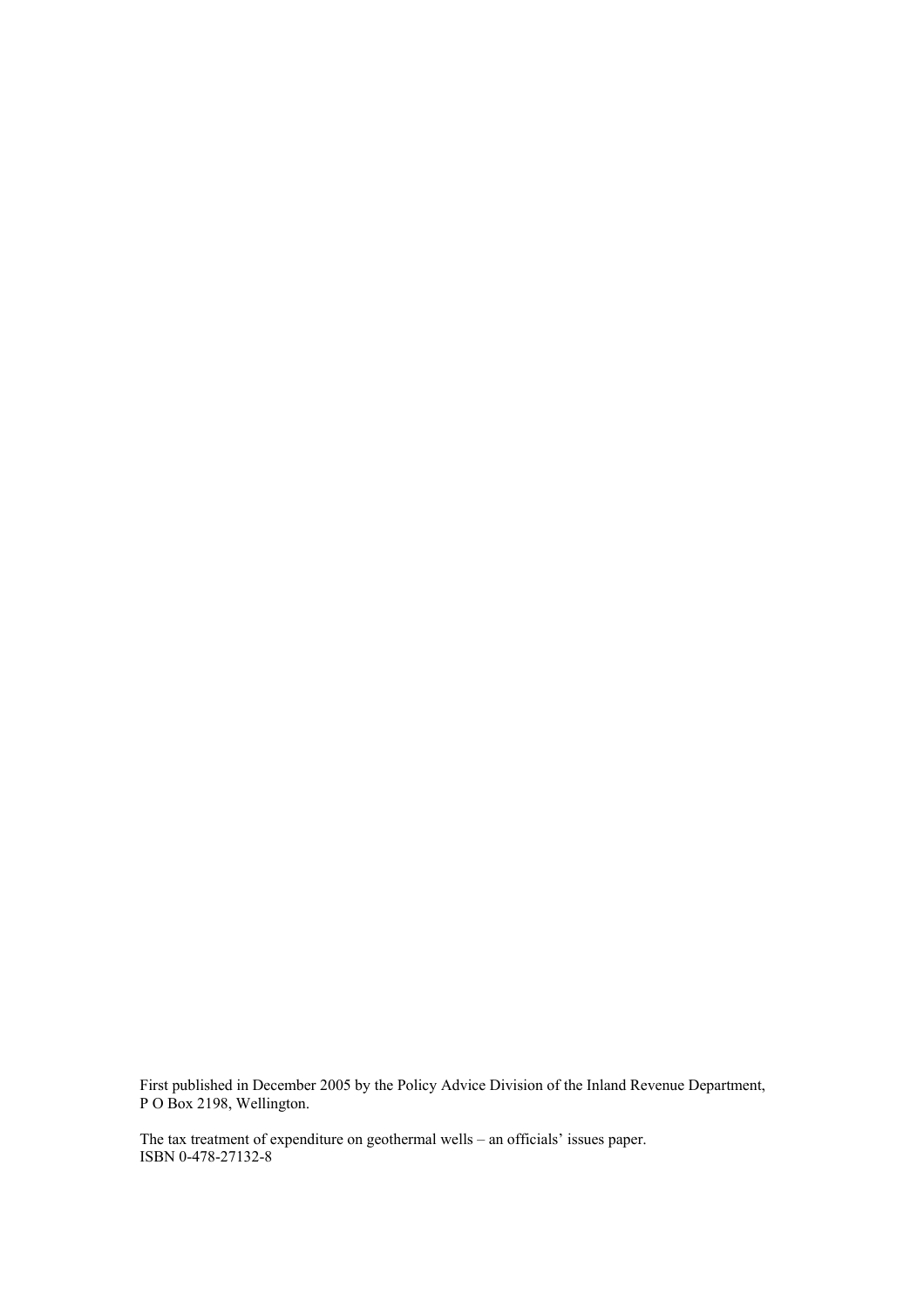First published in December 2005 by the Policy Advice Division of the Inland Revenue Department, P O Box 2198, Wellington.

The tax treatment of expenditure on geothermal wells – an officials' issues paper. ISBN 0-478-27132-8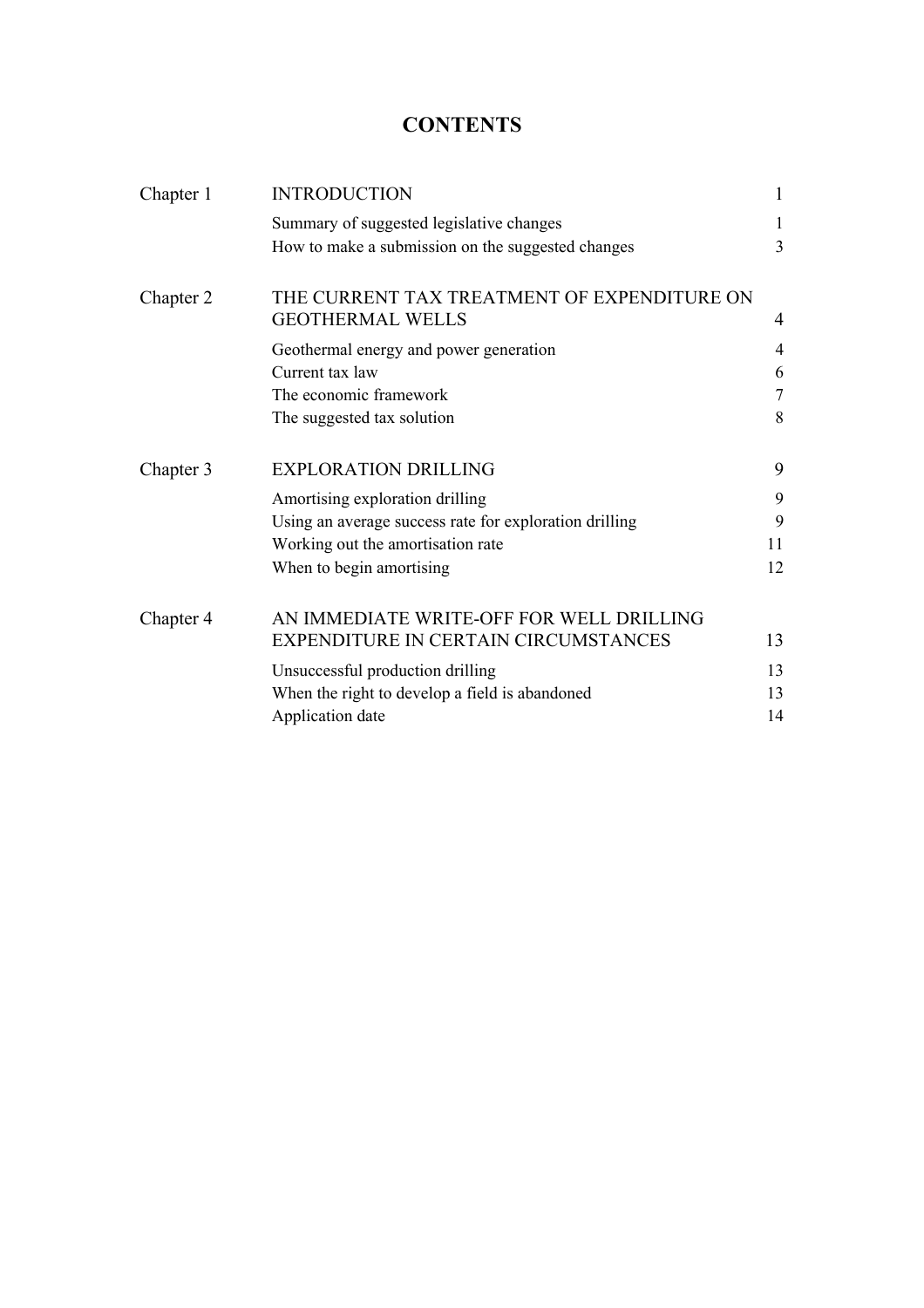# **CONTENTS**

| Chapter 1 | <b>INTRODUCTION</b>                                                    | 1      |
|-----------|------------------------------------------------------------------------|--------|
|           | Summary of suggested legislative changes                               | 1      |
|           | How to make a submission on the suggested changes                      | 3      |
| Chapter 2 | THE CURRENT TAX TREATMENT OF EXPENDITURE ON<br><b>GEOTHERMAL WELLS</b> | 4      |
|           | Geothermal energy and power generation                                 | 4      |
|           | Current tax law                                                        | 6      |
|           | The economic framework                                                 | $\tau$ |
|           | The suggested tax solution                                             | 8      |
| Chapter 3 | <b>EXPLORATION DRILLING</b>                                            | 9      |
|           | Amortising exploration drilling                                        | 9      |
|           | Using an average success rate for exploration drilling                 | 9      |
|           | Working out the amortisation rate                                      | 11     |
|           | When to begin amortising                                               | 12     |
| Chapter 4 | AN IMMEDIATE WRITE-OFF FOR WELL DRILLING                               |        |
|           | EXPENDITURE IN CERTAIN CIRCUMSTANCES                                   | 13     |
|           | Unsuccessful production drilling                                       | 13     |
|           | When the right to develop a field is abandoned                         | 13     |
|           | Application date                                                       | 14     |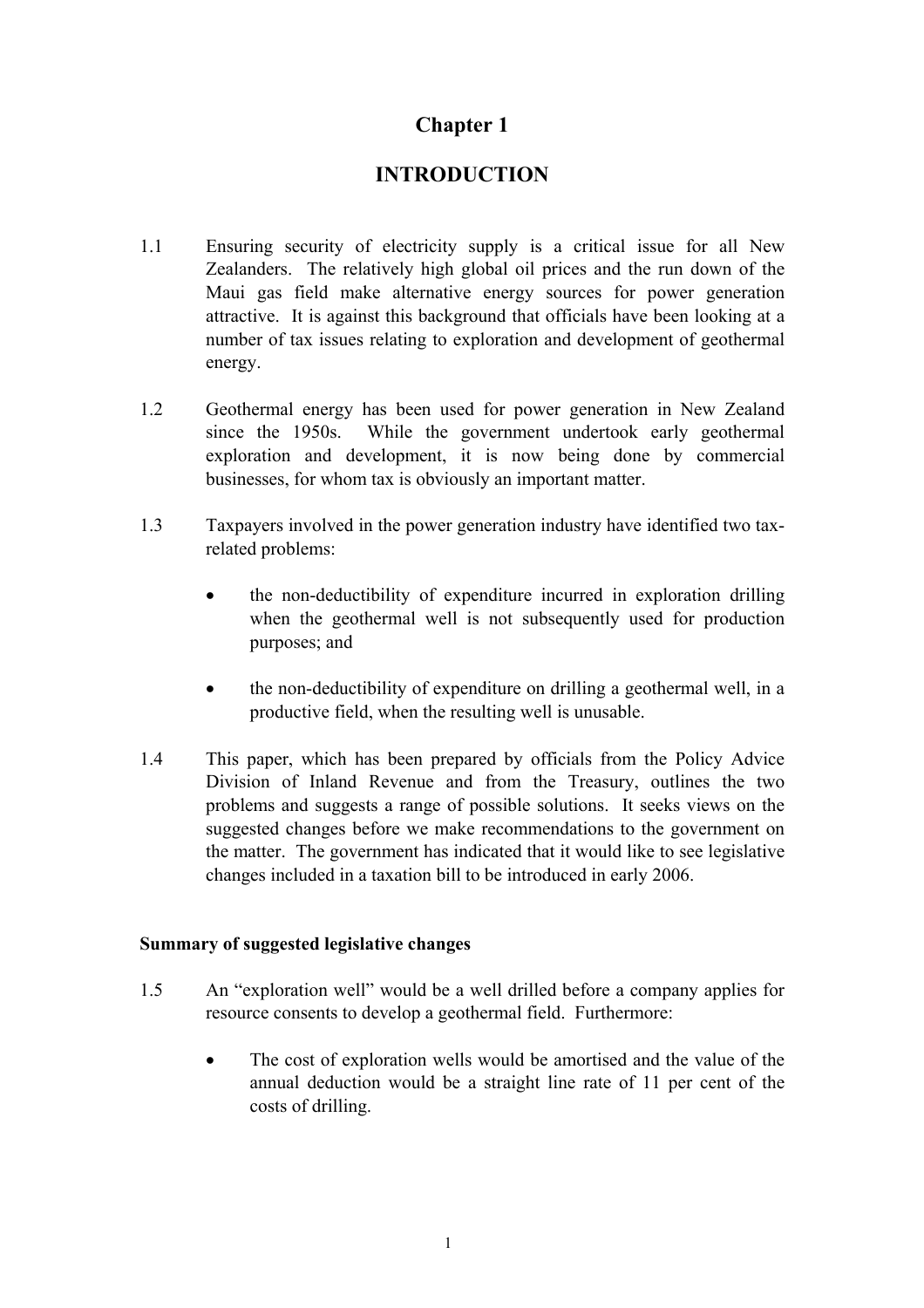# **INTRODUCTION**

- <span id="page-3-0"></span>1.1 Ensuring security of electricity supply is a critical issue for all New Zealanders. The relatively high global oil prices and the run down of the Maui gas field make alternative energy sources for power generation attractive. It is against this background that officials have been looking at a number of tax issues relating to exploration and development of geothermal energy.
- 1.2 Geothermal energy has been used for power generation in New Zealand since the 1950s. While the government undertook early geothermal exploration and development, it is now being done by commercial businesses, for whom tax is obviously an important matter.
- 1.3 Taxpayers involved in the power generation industry have identified two taxrelated problems:
	- the non-deductibility of expenditure incurred in exploration drilling when the geothermal well is not subsequently used for production purposes; and
	- the non-deductibility of expenditure on drilling a geothermal well, in a productive field, when the resulting well is unusable.
- 1.4 This paper, which has been prepared by officials from the Policy Advice Division of Inland Revenue and from the Treasury, outlines the two problems and suggests a range of possible solutions. It seeks views on the suggested changes before we make recommendations to the government on the matter. The government has indicated that it would like to see legislative changes included in a taxation bill to be introduced in early 2006.

## **Summary of suggested legislative changes**

- 1.5 An "exploration well" would be a well drilled before a company applies for resource consents to develop a geothermal field. Furthermore:
	- The cost of exploration wells would be amortised and the value of the annual deduction would be a straight line rate of 11 per cent of the costs of drilling.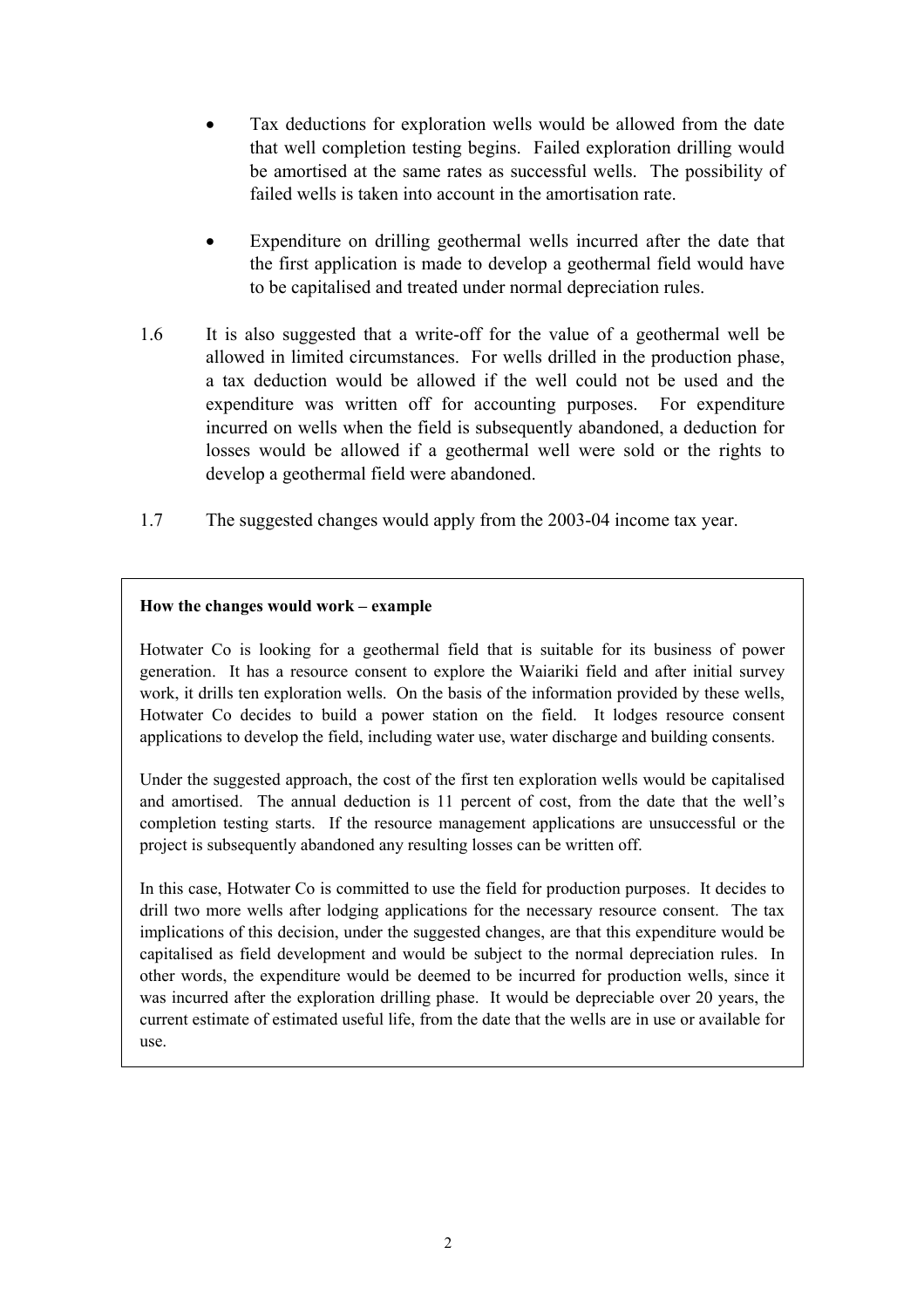- Tax deductions for exploration wells would be allowed from the date that well completion testing begins. Failed exploration drilling would be amortised at the same rates as successful wells. The possibility of failed wells is taken into account in the amortisation rate.
- Expenditure on drilling geothermal wells incurred after the date that the first application is made to develop a geothermal field would have to be capitalised and treated under normal depreciation rules.
- 1.6 It is also suggested that a write-off for the value of a geothermal well be allowed in limited circumstances. For wells drilled in the production phase, a tax deduction would be allowed if the well could not be used and the expenditure was written off for accounting purposes. For expenditure incurred on wells when the field is subsequently abandoned, a deduction for losses would be allowed if a geothermal well were sold or the rights to develop a geothermal field were abandoned.
- 1.7 The suggested changes would apply from the 2003-04 income tax year.

## **How the changes would work – example**

Hotwater Co is looking for a geothermal field that is suitable for its business of power generation. It has a resource consent to explore the Waiariki field and after initial survey work, it drills ten exploration wells. On the basis of the information provided by these wells, Hotwater Co decides to build a power station on the field. It lodges resource consent applications to develop the field, including water use, water discharge and building consents.

Under the suggested approach, the cost of the first ten exploration wells would be capitalised and amortised. The annual deduction is 11 percent of cost, from the date that the well's completion testing starts. If the resource management applications are unsuccessful or the project is subsequently abandoned any resulting losses can be written off.

In this case, Hotwater Co is committed to use the field for production purposes. It decides to drill two more wells after lodging applications for the necessary resource consent. The tax implications of this decision, under the suggested changes, are that this expenditure would be capitalised as field development and would be subject to the normal depreciation rules. In other words, the expenditure would be deemed to be incurred for production wells, since it was incurred after the exploration drilling phase. It would be depreciable over 20 years, the current estimate of estimated useful life, from the date that the wells are in use or available for use.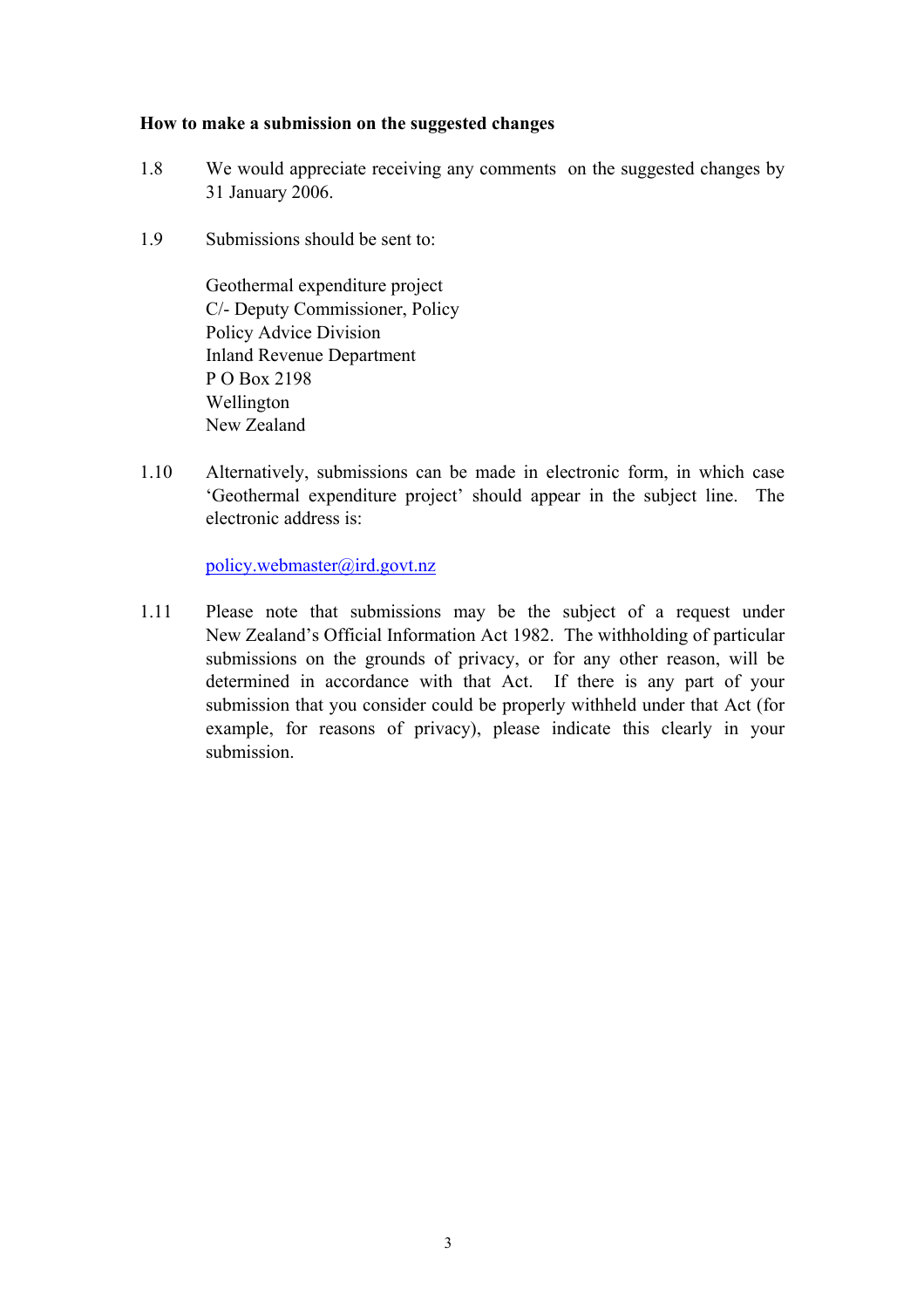#### <span id="page-5-0"></span>**How to make a submission on the suggested changes**

- 1.8 We would appreciate receiving any comments on the suggested changes by 31 January 2006.
- 1.9 Submissions should be sent to:

Geothermal expenditure project C/- Deputy Commissioner, Policy Policy Advice Division Inland Revenue Department P O Box 2198 Wellington New Zealand

1.10 Alternatively, submissions can be made in electronic form, in which case 'Geothermal expenditure project' should appear in the subject line. The electronic address is:

policy.webmaster@ird.govt.nz

1.11 Please note that submissions may be the subject of a request under New Zealand's Official Information Act 1982. The withholding of particular submissions on the grounds of privacy, or for any other reason, will be determined in accordance with that Act. If there is any part of your submission that you consider could be properly withheld under that Act (for example, for reasons of privacy), please indicate this clearly in your submission.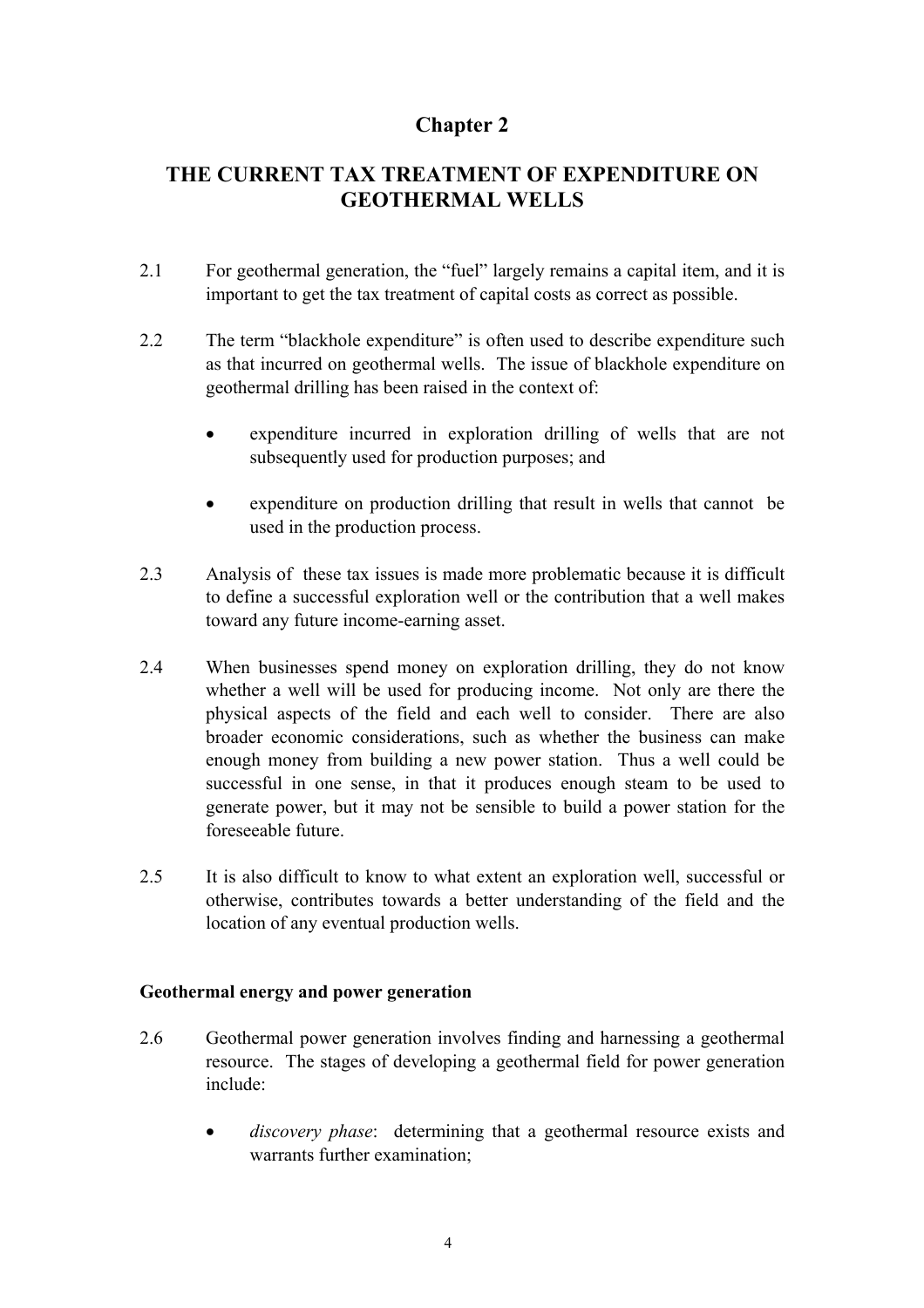# <span id="page-6-0"></span>**THE CURRENT TAX TREATMENT OF EXPENDITURE ON GEOTHERMAL WELLS**

- 2.1 For geothermal generation, the "fuel" largely remains a capital item, and it is important to get the tax treatment of capital costs as correct as possible.
- 2.2 The term "blackhole expenditure" is often used to describe expenditure such as that incurred on geothermal wells. The issue of blackhole expenditure on geothermal drilling has been raised in the context of:
	- expenditure incurred in exploration drilling of wells that are not subsequently used for production purposes; and
	- expenditure on production drilling that result in wells that cannot be used in the production process.
- 2.3 Analysis of these tax issues is made more problematic because it is difficult to define a successful exploration well or the contribution that a well makes toward any future income-earning asset.
- 2.4 When businesses spend money on exploration drilling, they do not know whether a well will be used for producing income. Not only are there the physical aspects of the field and each well to consider. There are also broader economic considerations, such as whether the business can make enough money from building a new power station. Thus a well could be successful in one sense, in that it produces enough steam to be used to generate power, but it may not be sensible to build a power station for the foreseeable future.
- 2.5 It is also difficult to know to what extent an exploration well, successful or otherwise, contributes towards a better understanding of the field and the location of any eventual production wells.

## **Geothermal energy and power generation**

- 2.6 Geothermal power generation involves finding and harnessing a geothermal resource. The stages of developing a geothermal field for power generation include:
	- *discovery phase*: determining that a geothermal resource exists and warrants further examination;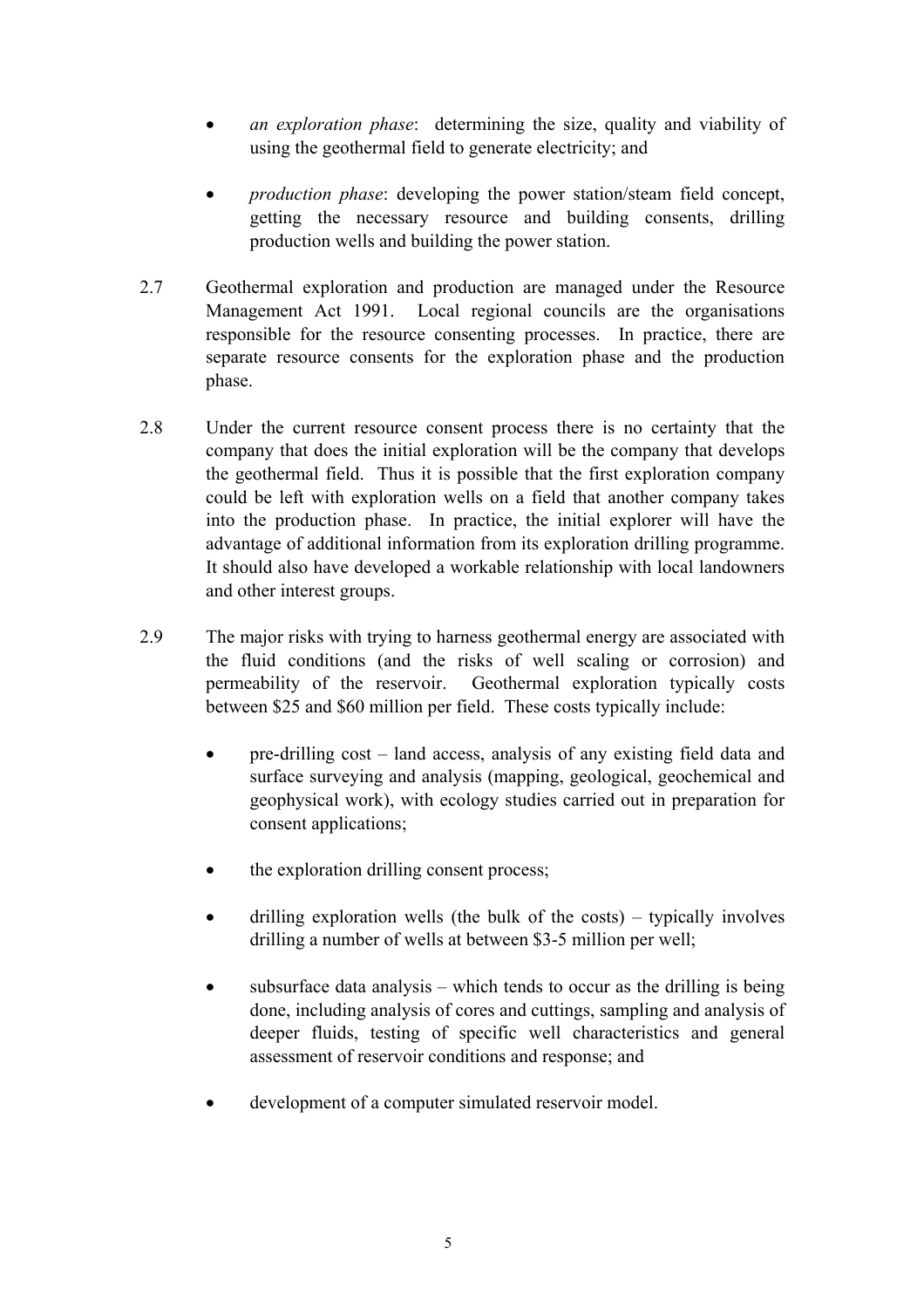- *an exploration phase*: determining the size, quality and viability of using the geothermal field to generate electricity; and
- *production phase*: developing the power station/steam field concept, getting the necessary resource and building consents, drilling production wells and building the power station.
- 2.7 Geothermal exploration and production are managed under the Resource Management Act 1991. Local regional councils are the organisations responsible for the resource consenting processes. In practice, there are separate resource consents for the exploration phase and the production phase.
- 2.8 Under the current resource consent process there is no certainty that the company that does the initial exploration will be the company that develops the geothermal field. Thus it is possible that the first exploration company could be left with exploration wells on a field that another company takes into the production phase. In practice, the initial explorer will have the advantage of additional information from its exploration drilling programme. It should also have developed a workable relationship with local landowners and other interest groups.
- 2.9 The major risks with trying to harness geothermal energy are associated with the fluid conditions (and the risks of well scaling or corrosion) and permeability of the reservoir. Geothermal exploration typically costs between \$25 and \$60 million per field. These costs typically include:
	- pre-drilling cost land access, analysis of any existing field data and surface surveying and analysis (mapping, geological, geochemical and geophysical work), with ecology studies carried out in preparation for consent applications;
	- the exploration drilling consent process;
	- drilling exploration wells (the bulk of the costs) typically involves drilling a number of wells at between \$3-5 million per well;
	- subsurface data analysis which tends to occur as the drilling is being done, including analysis of cores and cuttings, sampling and analysis of deeper fluids, testing of specific well characteristics and general assessment of reservoir conditions and response; and
	- development of a computer simulated reservoir model.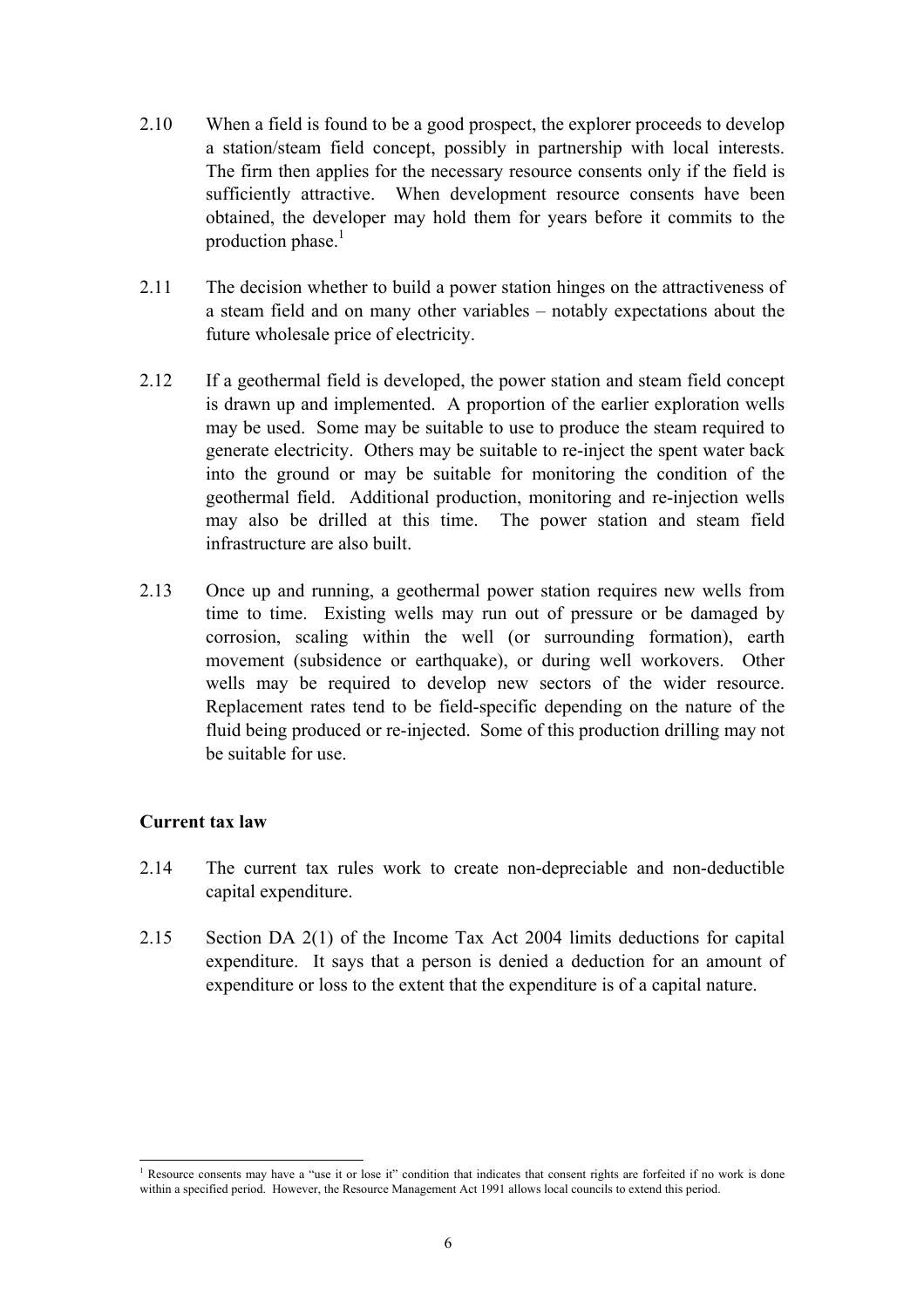- <span id="page-8-0"></span>2.10 When a field is found to be a good prospect, the explorer proceeds to develop a station/steam field concept, possibly in partnership with local interests. The firm then applies for the necessary resource consents only if the field is sufficiently attractive. When development resource consents have been obtained, the developer may hold them for years before it commits to the production phase. $<sup>1</sup>$ </sup>
- 2.11 The decision whether to build a power station hinges on the attractiveness of a steam field and on many other variables – notably expectations about the future wholesale price of electricity.
- 2.12 If a geothermal field is developed, the power station and steam field concept is drawn up and implemented. A proportion of the earlier exploration wells may be used. Some may be suitable to use to produce the steam required to generate electricity. Others may be suitable to re-inject the spent water back into the ground or may be suitable for monitoring the condition of the geothermal field. Additional production, monitoring and re-injection wells may also be drilled at this time. The power station and steam field infrastructure are also built.
- 2.13 Once up and running, a geothermal power station requires new wells from time to time. Existing wells may run out of pressure or be damaged by corrosion, scaling within the well (or surrounding formation), earth movement (subsidence or earthquake), or during well workovers. Other wells may be required to develop new sectors of the wider resource. Replacement rates tend to be field-specific depending on the nature of the fluid being produced or re-injected. Some of this production drilling may not be suitable for use.

#### **Current tax law**

- 2.14 The current tax rules work to create non-depreciable and non-deductible capital expenditure.
- 2.15 Section DA 2(1) of the Income Tax Act 2004 limits deductions for capital expenditure. It says that a person is denied a deduction for an amount of expenditure or loss to the extent that the expenditure is of a capital nature.

<sup>&</sup>lt;sup>1</sup> Resource consents may have a "use it or lose it" condition that indicates that consent rights are forfeited if no work is done within a specified period. However, the Resource Management Act 1991 allows local councils to extend this period.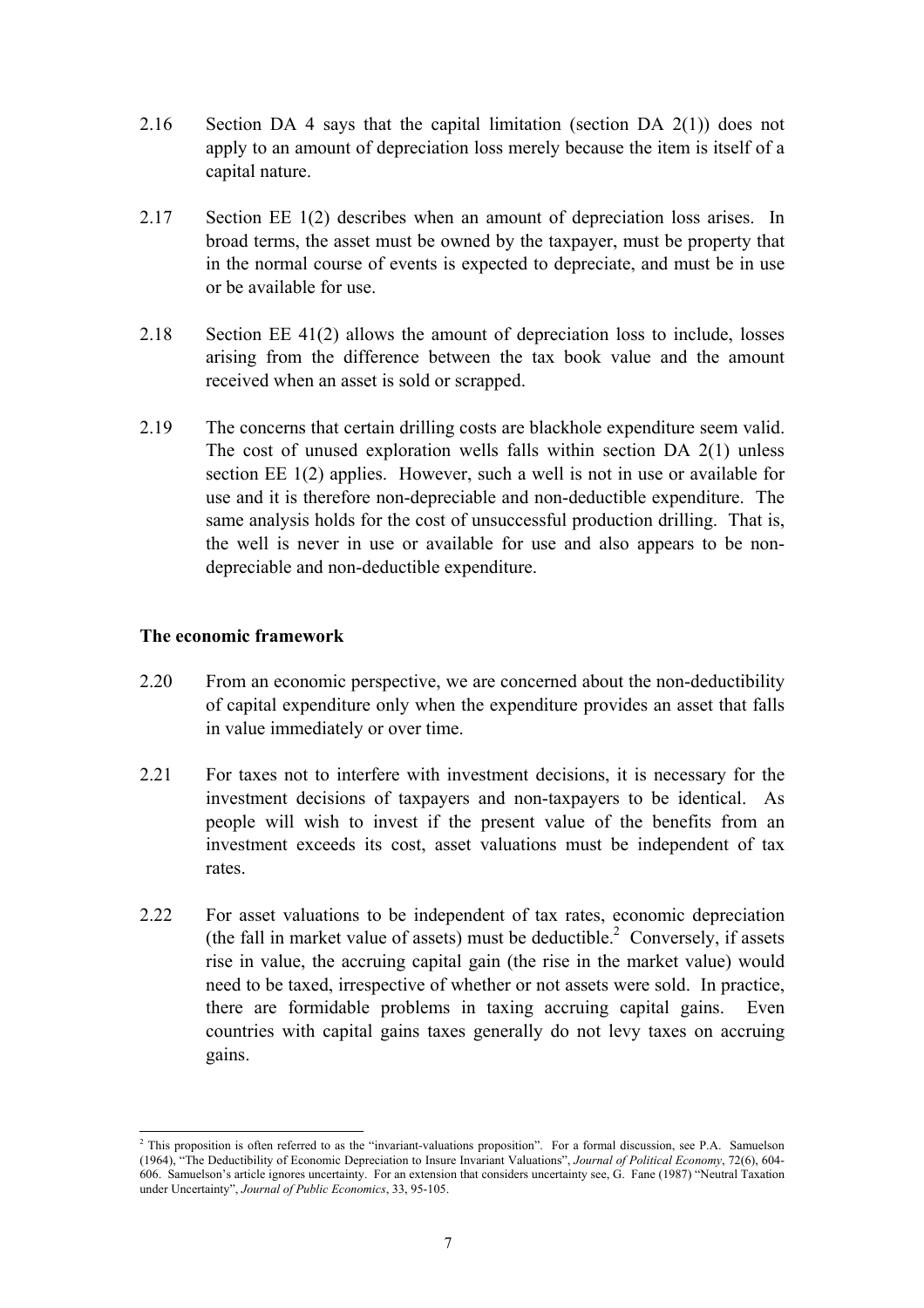- <span id="page-9-0"></span>2.16 Section DA 4 says that the capital limitation (section DA 2(1)) does not apply to an amount of depreciation loss merely because the item is itself of a capital nature.
- 2.17 Section EE 1(2) describes when an amount of depreciation loss arises. In broad terms, the asset must be owned by the taxpayer, must be property that in the normal course of events is expected to depreciate, and must be in use or be available for use.
- 2.18 Section EE 41(2) allows the amount of depreciation loss to include, losses arising from the difference between the tax book value and the amount received when an asset is sold or scrapped.
- 2.19 The concerns that certain drilling costs are blackhole expenditure seem valid. The cost of unused exploration wells falls within section DA 2(1) unless section EE 1(2) applies. However, such a well is not in use or available for use and it is therefore non-depreciable and non-deductible expenditure. The same analysis holds for the cost of unsuccessful production drilling. That is, the well is never in use or available for use and also appears to be nondepreciable and non-deductible expenditure.

#### **The economic framework**

- 2.20 From an economic perspective, we are concerned about the non-deductibility of capital expenditure only when the expenditure provides an asset that falls in value immediately or over time.
- 2.21 For taxes not to interfere with investment decisions, it is necessary for the investment decisions of taxpayers and non-taxpayers to be identical. As people will wish to invest if the present value of the benefits from an investment exceeds its cost, asset valuations must be independent of tax rates.
- 2.22 For asset valuations to be independent of tax rates, economic depreciation (the fall in market value of assets) must be deductible.<sup>2</sup> Conversely, if assets rise in value, the accruing capital gain (the rise in the market value) would need to be taxed, irrespective of whether or not assets were sold. In practice, there are formidable problems in taxing accruing capital gains. Even countries with capital gains taxes generally do not levy taxes on accruing gains.

 $\overline{\phantom{a}}$ <sup>2</sup> This proposition is often referred to as the "invariant-valuations proposition". For a formal discussion, see P.A. Samuelson (1964), "The Deductibility of Economic Depreciation to Insure Invariant Valuations", *Journal of Political Economy*, 72(6), 604- 606. Samuelson's article ignores uncertainty. For an extension that considers uncertainty see, G. Fane (1987) "Neutral Taxation under Uncertainty", *Journal of Public Economics*, 33, 95-105.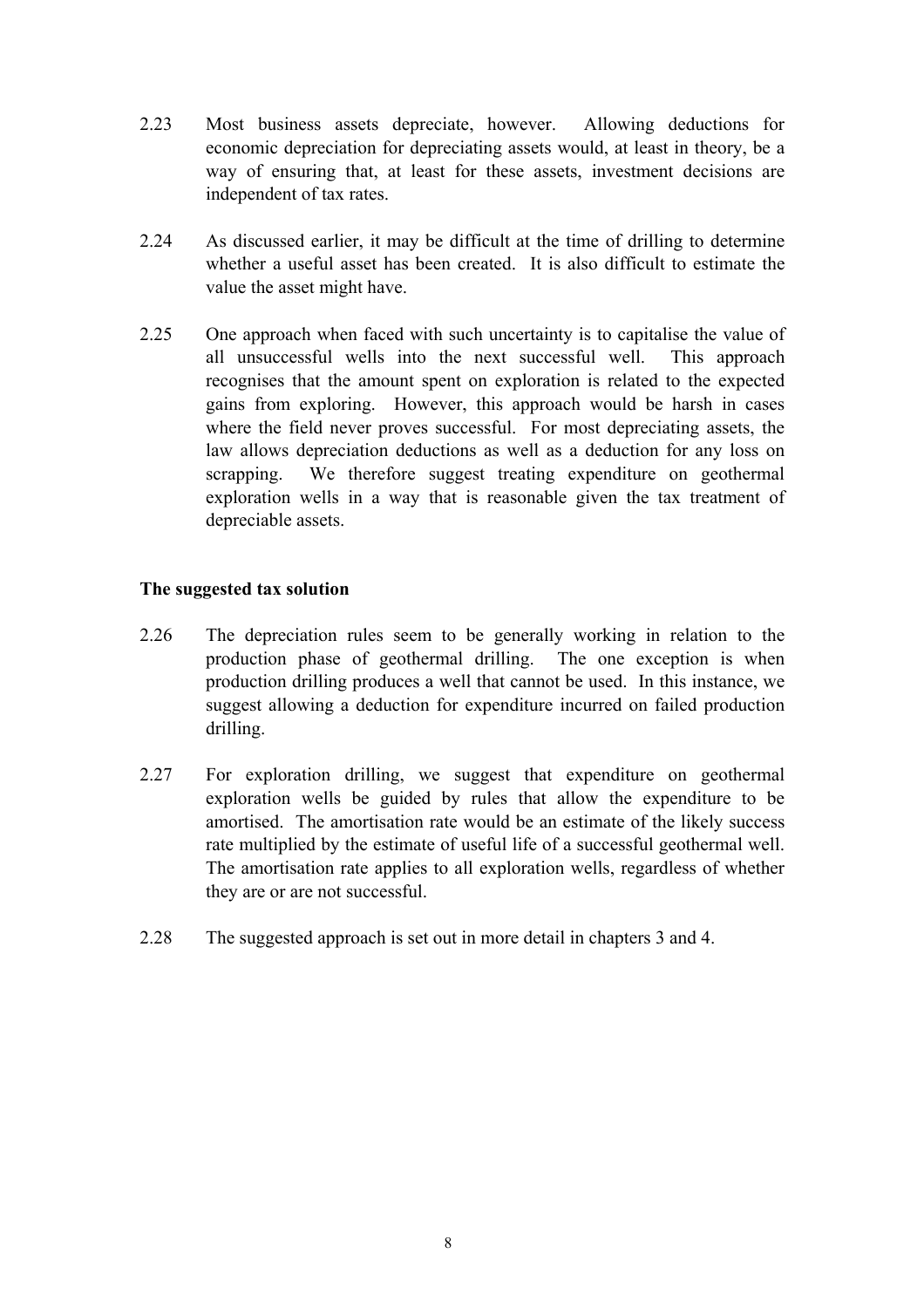- <span id="page-10-0"></span>2.23 Most business assets depreciate, however. Allowing deductions for economic depreciation for depreciating assets would, at least in theory, be a way of ensuring that, at least for these assets, investment decisions are independent of tax rates.
- 2.24 As discussed earlier, it may be difficult at the time of drilling to determine whether a useful asset has been created. It is also difficult to estimate the value the asset might have.
- 2.25 One approach when faced with such uncertainty is to capitalise the value of all unsuccessful wells into the next successful well. This approach recognises that the amount spent on exploration is related to the expected gains from exploring. However, this approach would be harsh in cases where the field never proves successful. For most depreciating assets, the law allows depreciation deductions as well as a deduction for any loss on scrapping. We therefore suggest treating expenditure on geothermal exploration wells in a way that is reasonable given the tax treatment of depreciable assets.

## **The suggested tax solution**

- 2.26 The depreciation rules seem to be generally working in relation to the production phase of geothermal drilling. The one exception is when production drilling produces a well that cannot be used. In this instance, we suggest allowing a deduction for expenditure incurred on failed production drilling.
- 2.27 For exploration drilling, we suggest that expenditure on geothermal exploration wells be guided by rules that allow the expenditure to be amortised. The amortisation rate would be an estimate of the likely success rate multiplied by the estimate of useful life of a successful geothermal well. The amortisation rate applies to all exploration wells, regardless of whether they are or are not successful.
- 2.28 The suggested approach is set out in more detail in chapters 3 and 4.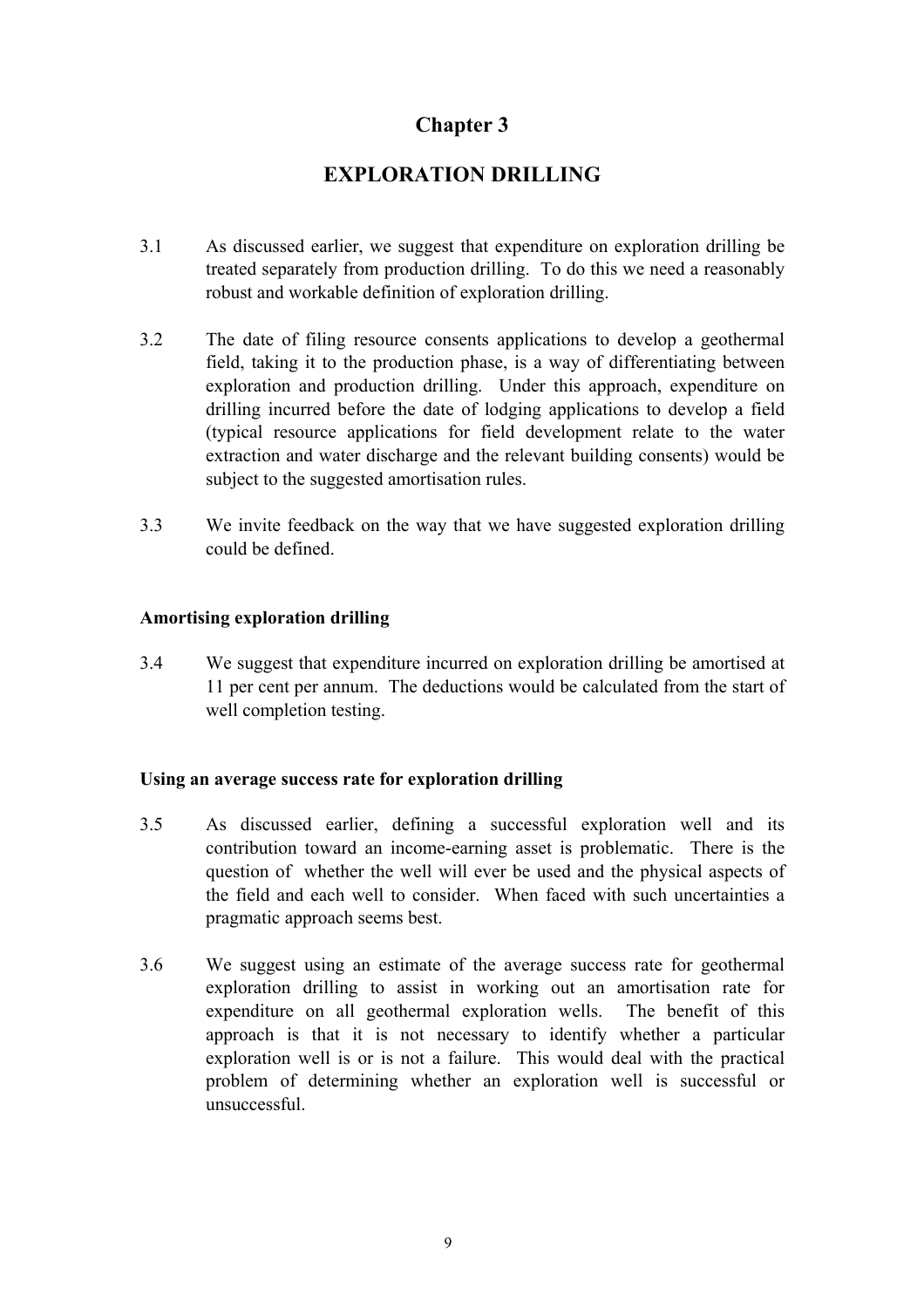# **EXPLORATION DRILLING**

- <span id="page-11-0"></span>3.1 As discussed earlier, we suggest that expenditure on exploration drilling be treated separately from production drilling. To do this we need a reasonably robust and workable definition of exploration drilling.
- 3.2 The date of filing resource consents applications to develop a geothermal field, taking it to the production phase, is a way of differentiating between exploration and production drilling. Under this approach, expenditure on drilling incurred before the date of lodging applications to develop a field (typical resource applications for field development relate to the water extraction and water discharge and the relevant building consents) would be subject to the suggested amortisation rules.
- 3.3 We invite feedback on the way that we have suggested exploration drilling could be defined.

## **Amortising exploration drilling**

3.4 We suggest that expenditure incurred on exploration drilling be amortised at 11 per cent per annum. The deductions would be calculated from the start of well completion testing.

#### **Using an average success rate for exploration drilling**

- 3.5 As discussed earlier, defining a successful exploration well and its contribution toward an income-earning asset is problematic. There is the question of whether the well will ever be used and the physical aspects of the field and each well to consider. When faced with such uncertainties a pragmatic approach seems best.
- 3.6 We suggest using an estimate of the average success rate for geothermal exploration drilling to assist in working out an amortisation rate for expenditure on all geothermal exploration wells. The benefit of this approach is that it is not necessary to identify whether a particular exploration well is or is not a failure. This would deal with the practical problem of determining whether an exploration well is successful or unsuccessful.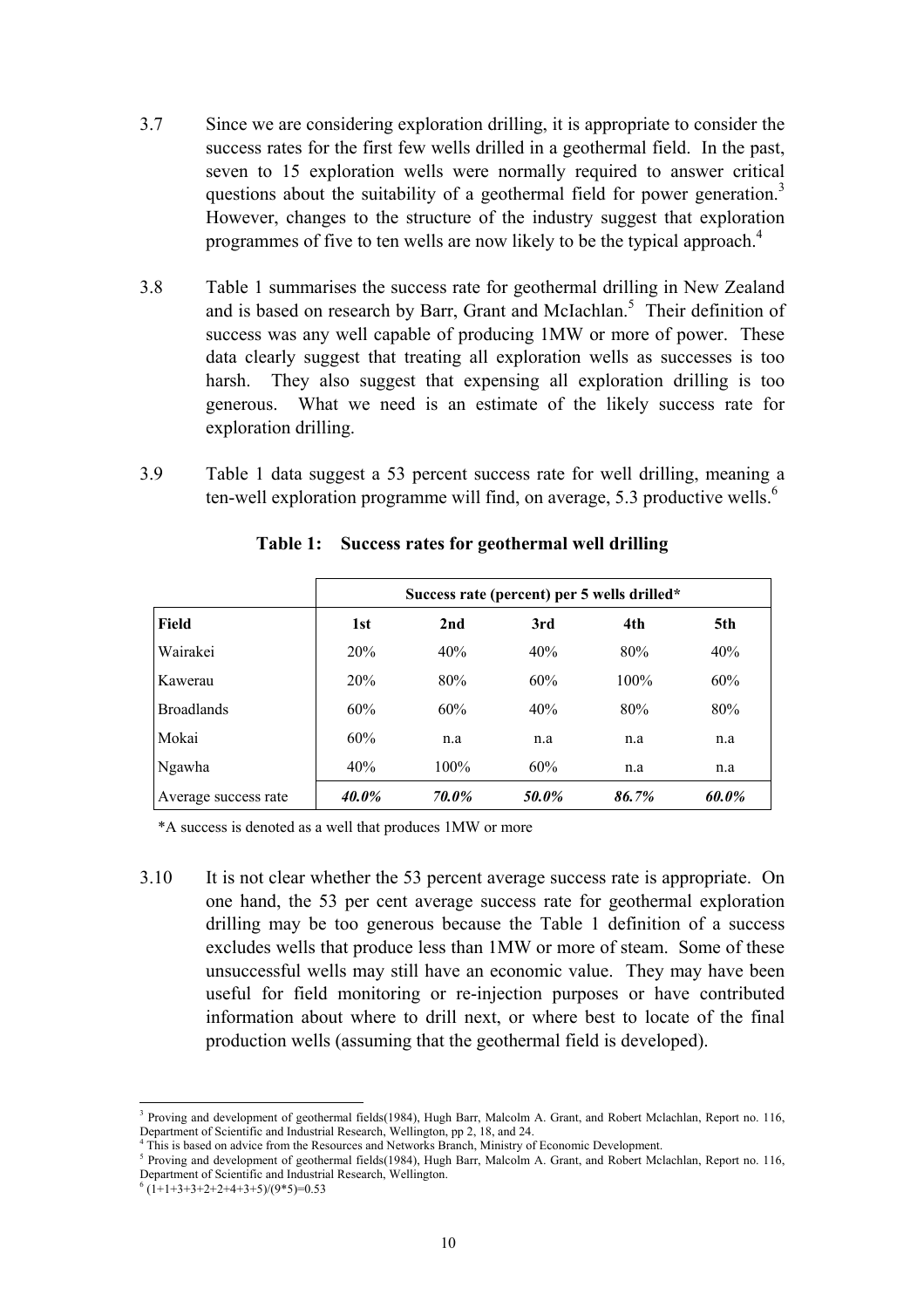- 3.7 Since we are considering exploration drilling, it is appropriate to consider the success rates for the first few wells drilled in a geothermal field. In the past, seven to 15 exploration wells were normally required to answer critical questions about the suitability of a geothermal field for power generation.<sup>3</sup> However, changes to the structure of the industry suggest that exploration programmes of five to ten wells are now likely to be the typical approach.<sup>4</sup>
- 3.8 Table 1 summarises the success rate for geothermal drilling in New Zealand and is based on research by Barr, Grant and McIachlan.<sup>5</sup> Their definition of success was any well capable of producing 1MW or more of power. These data clearly suggest that treating all exploration wells as successes is too harsh. They also suggest that expensing all exploration drilling is too generous. What we need is an estimate of the likely success rate for exploration drilling.
- 3.9 Table 1 data suggest a 53 percent success rate for well drilling, meaning a ten-well exploration programme will find, on average, 5.3 productive wells.<sup>6</sup>

|                      | Success rate (percent) per 5 wells drilled* |       |       |         |       |  |
|----------------------|---------------------------------------------|-------|-------|---------|-------|--|
| Field                | 1st                                         | 2nd   | 3rd   | 4th     | 5th   |  |
| Wairakei             | 20%                                         | 40%   | 40%   | 80%     | 40%   |  |
| Kawerau              | 20%                                         | 80%   | 60%   | $100\%$ | 60%   |  |
| <b>Broadlands</b>    | 60%                                         | 60%   | 40%   | 80%     | 80%   |  |
| Mokai                | 60%                                         | n.a   | n.a   | n.a     | n.a   |  |
| Ngawha               | 40%                                         | 100%  | 60%   | n.a     | n.a   |  |
| Average success rate | 40.0%                                       | 70.0% | 50.0% | 86.7%   | 60.0% |  |

## **Table 1: Success rates for geothermal well drilling**

\*A success is denoted as a well that produces 1MW or more

3.10 It is not clear whether the 53 percent average success rate is appropriate. On one hand, the 53 per cent average success rate for geothermal exploration drilling may be too generous because the Table 1 definition of a success excludes wells that produce less than 1MW or more of steam. Some of these unsuccessful wells may still have an economic value. They may have been useful for field monitoring or re-injection purposes or have contributed information about where to drill next, or where best to locate of the final production wells (assuming that the geothermal field is developed).

 $\overline{\phantom{a}}$ 

<sup>&</sup>lt;sup>3</sup> Proving and development of geothermal fields(1984), Hugh Barr, Malcolm A. Grant, and Robert Mclachlan, Report no. 116, Department of Scientific and Industrial Research, Wellington, pp 2, 18, and 24.

<sup>&</sup>lt;sup>4</sup> This is based on advice from the Resources and Networks Branch, Ministry of Economic Development.

Proving and development of geothermal fields(1984), Hugh Barr, Malcolm A. Grant, and Robert Mclachlan, Report no. 116, Department of Scientific and Industrial Research, Wellington.

 $(1+1+3+3+2+2+4+3+5)/(9*5)=0.53$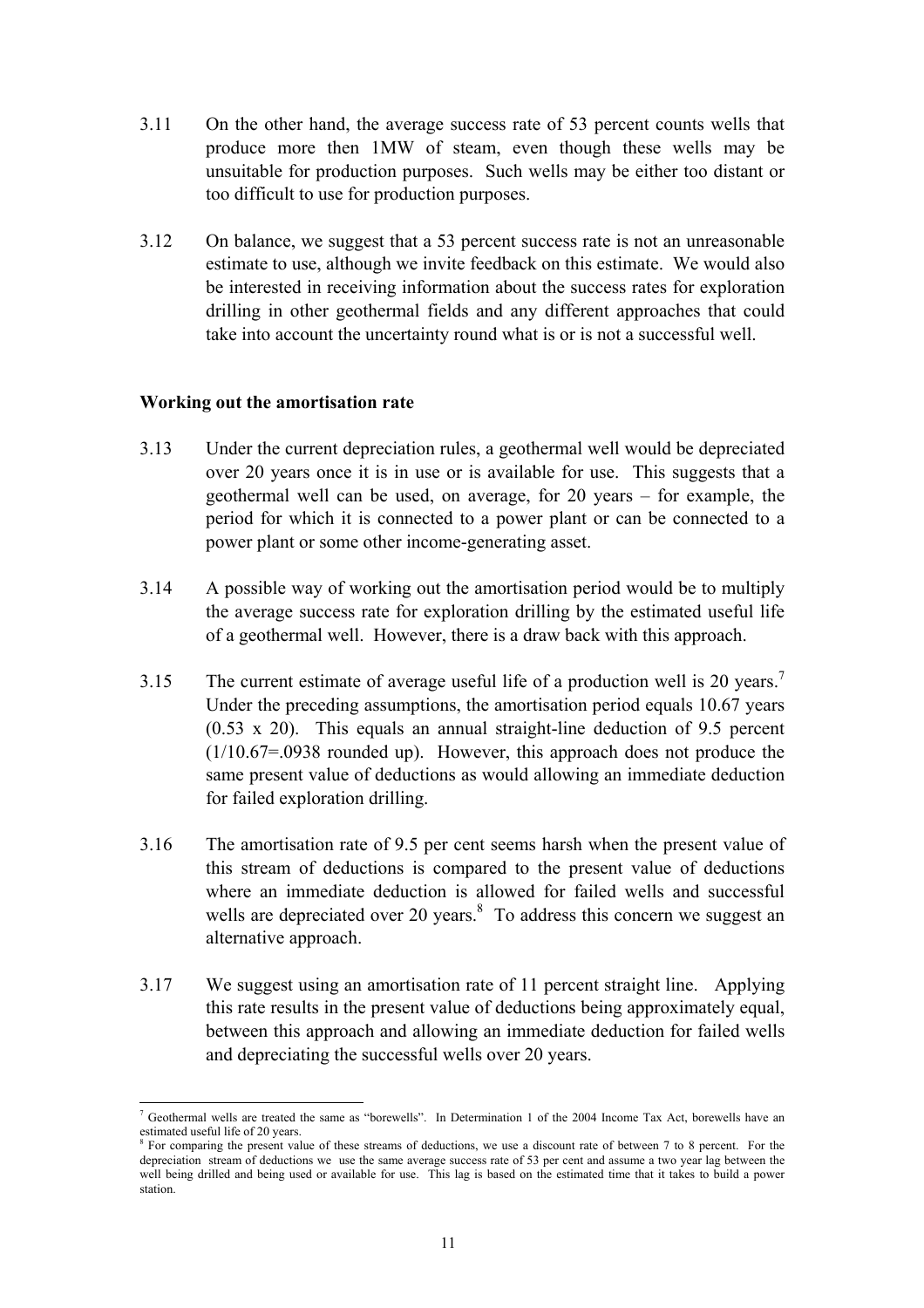- <span id="page-13-0"></span>3.11 On the other hand, the average success rate of 53 percent counts wells that produce more then 1MW of steam, even though these wells may be unsuitable for production purposes. Such wells may be either too distant or too difficult to use for production purposes.
- 3.12 On balance, we suggest that a 53 percent success rate is not an unreasonable estimate to use, although we invite feedback on this estimate. We would also be interested in receiving information about the success rates for exploration drilling in other geothermal fields and any different approaches that could take into account the uncertainty round what is or is not a successful well.

#### **Working out the amortisation rate**

- 3.13 Under the current depreciation rules, a geothermal well would be depreciated over 20 years once it is in use or is available for use. This suggests that a geothermal well can be used, on average, for 20 years – for example, the period for which it is connected to a power plant or can be connected to a power plant or some other income-generating asset.
- 3.14 A possible way of working out the amortisation period would be to multiply the average success rate for exploration drilling by the estimated useful life of a geothermal well. However, there is a draw back with this approach.
- 3.15 The current estimate of average useful life of a production well is 20 years.<sup>7</sup> Under the preceding assumptions, the amortisation period equals 10.67 years (0.53 x 20). This equals an annual straight-line deduction of 9.5 percent (1/10.67=.0938 rounded up). However, this approach does not produce the same present value of deductions as would allowing an immediate deduction for failed exploration drilling.
- 3.16 The amortisation rate of 9.5 per cent seems harsh when the present value of this stream of deductions is compared to the present value of deductions where an immediate deduction is allowed for failed wells and successful wells are depreciated over 20 years. $8\degree$  To address this concern we suggest an alternative approach.
- 3.17 We suggest using an amortisation rate of 11 percent straight line. Applying this rate results in the present value of deductions being approximately equal, between this approach and allowing an immediate deduction for failed wells and depreciating the successful wells over 20 years.

 $\overline{\phantom{a}}$ 7 Geothermal wells are treated the same as "borewells". In Determination 1 of the 2004 Income Tax Act, borewells have an estimated useful life of 20 years.

<sup>&</sup>lt;sup>8</sup> For comparing the present value of these streams of deductions, we use a discount rate of between 7 to 8 percent. For the depreciation stream of deductions we use the same average success rate of 53 per cent and assume a two year lag between the well being drilled and being used or available for use. This lag is based on the estimated time that it takes to build a power station.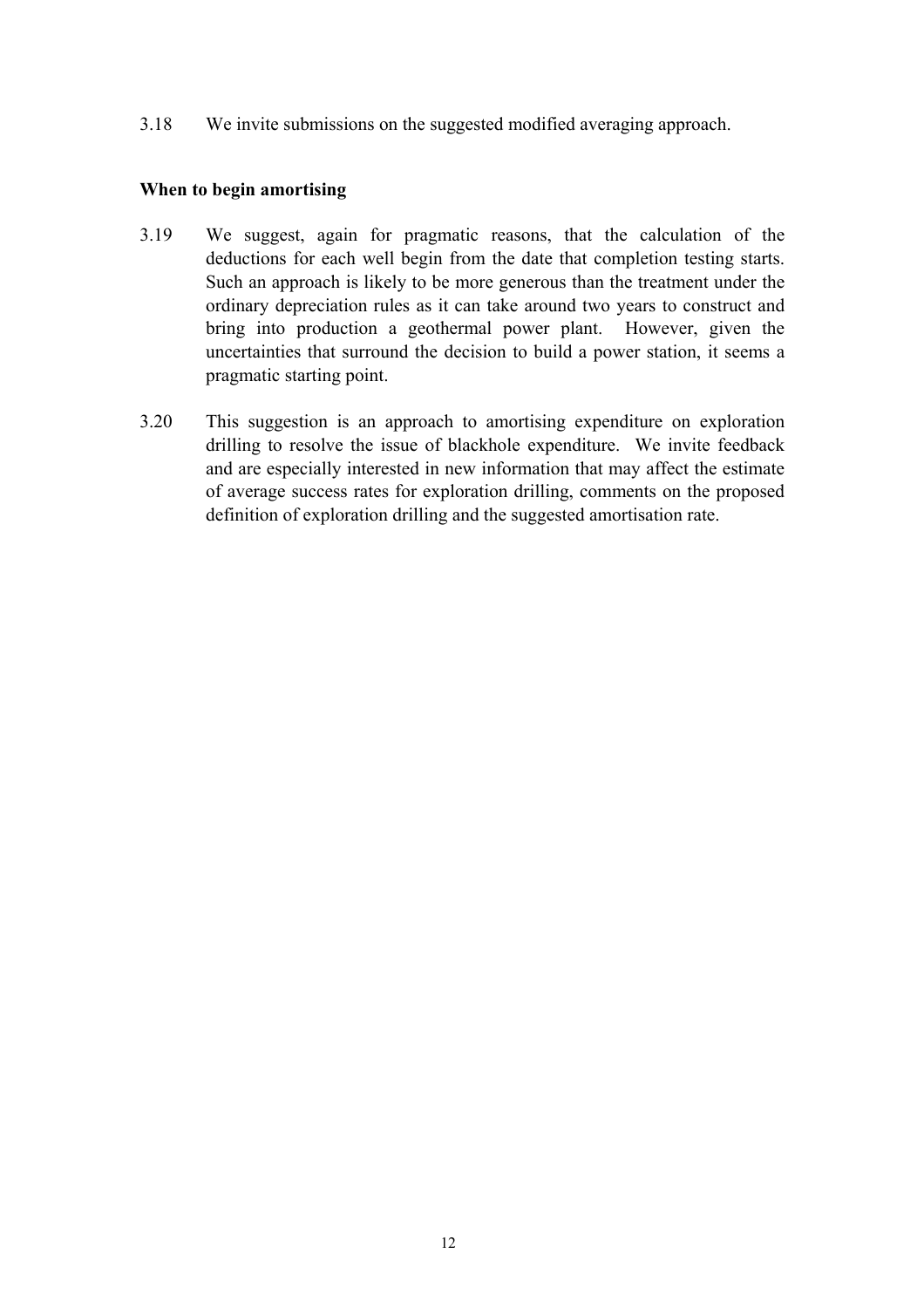<span id="page-14-0"></span>3.18 We invite submissions on the suggested modified averaging approach.

## **When to begin amortising**

- 3.19 We suggest, again for pragmatic reasons, that the calculation of the deductions for each well begin from the date that completion testing starts. Such an approach is likely to be more generous than the treatment under the ordinary depreciation rules as it can take around two years to construct and bring into production a geothermal power plant. However, given the uncertainties that surround the decision to build a power station, it seems a pragmatic starting point.
- 3.20 This suggestion is an approach to amortising expenditure on exploration drilling to resolve the issue of blackhole expenditure. We invite feedback and are especially interested in new information that may affect the estimate of average success rates for exploration drilling, comments on the proposed definition of exploration drilling and the suggested amortisation rate.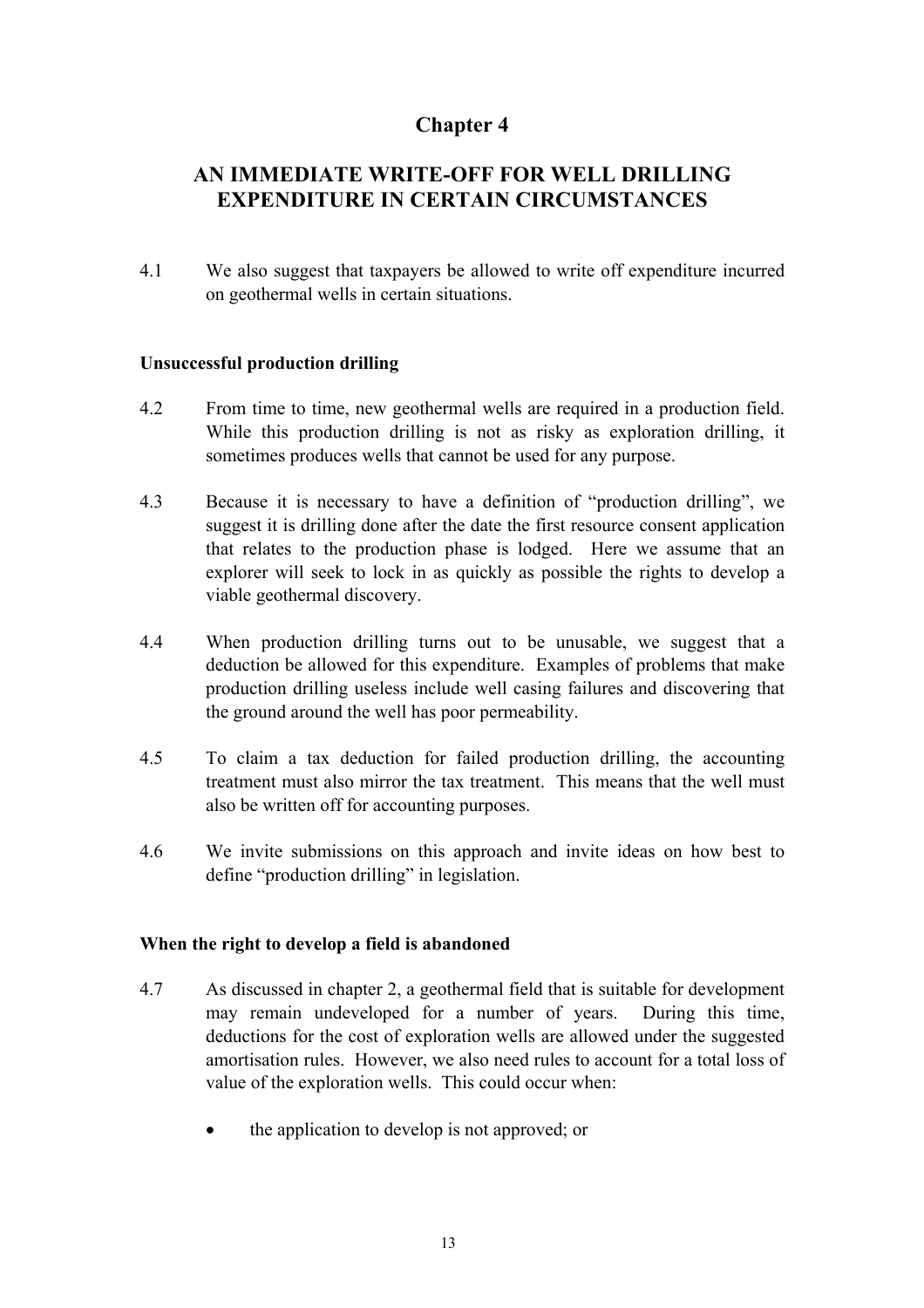# <span id="page-15-0"></span>**AN IMMEDIATE WRITE-OFF FOR WELL DRILLING EXPENDITURE IN CERTAIN CIRCUMSTANCES**

4.1 We also suggest that taxpayers be allowed to write off expenditure incurred on geothermal wells in certain situations.

## **Unsuccessful production drilling**

- 4.2 From time to time, new geothermal wells are required in a production field. While this production drilling is not as risky as exploration drilling, it sometimes produces wells that cannot be used for any purpose.
- 4.3 Because it is necessary to have a definition of "production drilling", we suggest it is drilling done after the date the first resource consent application that relates to the production phase is lodged. Here we assume that an explorer will seek to lock in as quickly as possible the rights to develop a viable geothermal discovery.
- 4.4 When production drilling turns out to be unusable, we suggest that a deduction be allowed for this expenditure. Examples of problems that make production drilling useless include well casing failures and discovering that the ground around the well has poor permeability.
- 4.5 To claim a tax deduction for failed production drilling, the accounting treatment must also mirror the tax treatment. This means that the well must also be written off for accounting purposes.
- 4.6 We invite submissions on this approach and invite ideas on how best to define "production drilling" in legislation.

#### **When the right to develop a field is abandoned**

- 4.7 As discussed in chapter 2, a geothermal field that is suitable for development may remain undeveloped for a number of years. During this time, deductions for the cost of exploration wells are allowed under the suggested amortisation rules. However, we also need rules to account for a total loss of value of the exploration wells. This could occur when:
	- the application to develop is not approved; or